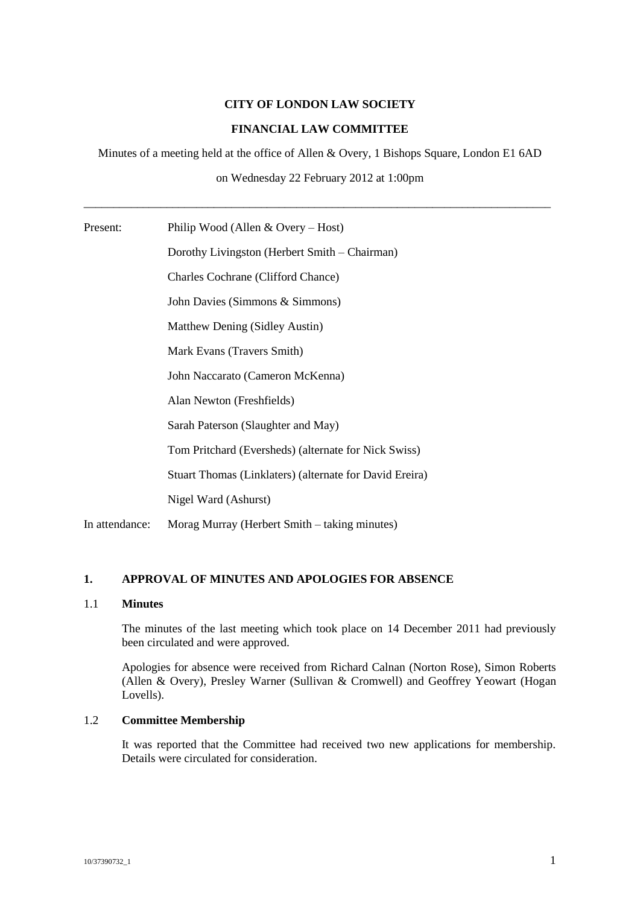# **CITY OF LONDON LAW SOCIETY**

# **FINANCIAL LAW COMMITTEE**

Minutes of a meeting held at the office of Allen & Overy, 1 Bishops Square, London E1 6AD

on Wednesday 22 February 2012 at 1:00pm

\_\_\_\_\_\_\_\_\_\_\_\_\_\_\_\_\_\_\_\_\_\_\_\_\_\_\_\_\_\_\_\_\_\_\_\_\_\_\_\_\_\_\_\_\_\_\_\_\_\_\_\_\_\_\_\_\_\_\_\_\_\_\_\_\_\_\_\_\_\_\_\_\_\_\_\_\_\_\_

Present: Philip Wood (Allen & Overy – Host)

Dorothy Livingston (Herbert Smith – Chairman) Charles Cochrane (Clifford Chance) John Davies (Simmons & Simmons) Matthew Dening (Sidley Austin) Mark Evans (Travers Smith) John Naccarato (Cameron McKenna) Alan Newton (Freshfields) Sarah Paterson (Slaughter and May) Tom Pritchard (Eversheds) (alternate for Nick Swiss) Stuart Thomas (Linklaters) (alternate for David Ereira) Nigel Ward (Ashurst) In attendance: Morag Murray (Herbert Smith – taking minutes)

## **1. APPROVAL OF MINUTES AND APOLOGIES FOR ABSENCE**

## 1.1 **Minutes**

The minutes of the last meeting which took place on 14 December 2011 had previously been circulated and were approved.

Apologies for absence were received from Richard Calnan (Norton Rose), Simon Roberts (Allen & Overy), Presley Warner (Sullivan & Cromwell) and Geoffrey Yeowart (Hogan Lovells).

## 1.2 **Committee Membership**

It was reported that the Committee had received two new applications for membership. Details were circulated for consideration.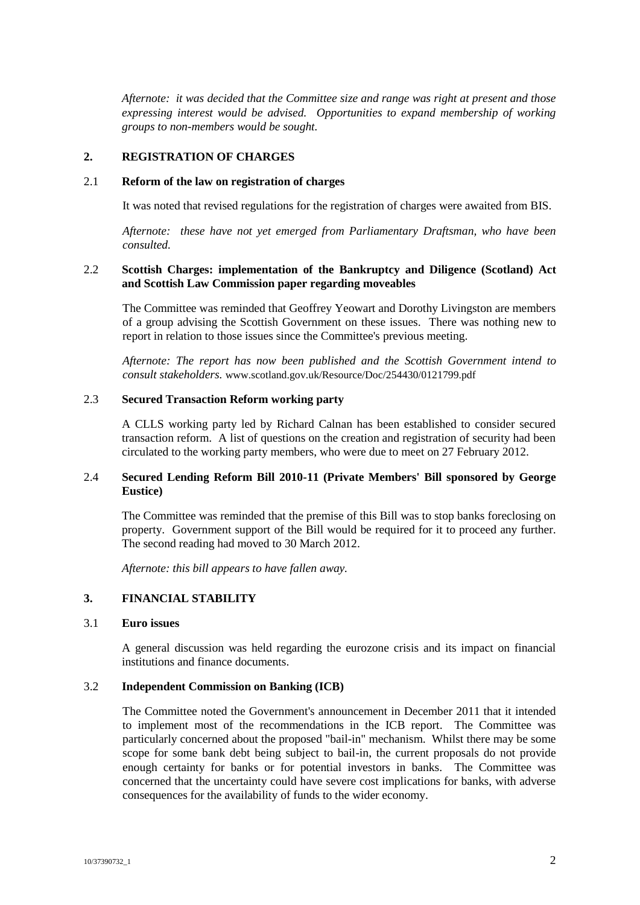*Afternote: it was decided that the Committee size and range was right at present and those expressing interest would be advised. Opportunities to expand membership of working groups to non-members would be sought.*

## **2. REGISTRATION OF CHARGES**

#### 2.1 **Reform of the law on registration of charges**

It was noted that revised regulations for the registration of charges were awaited from BIS.

*Afternote: these have not yet emerged from Parliamentary Draftsman, who have been consulted.*

# 2.2 **Scottish Charges: implementation of the Bankruptcy and Diligence (Scotland) Act and Scottish Law Commission paper regarding moveables**

The Committee was reminded that Geoffrey Yeowart and Dorothy Livingston are members of a group advising the Scottish Government on these issues. There was nothing new to report in relation to those issues since the Committee's previous meeting.

*Afternote: The report has now been published and the Scottish Government intend to consult stakeholders.* www.scotland.gov.uk/Resource/Doc/254430/0121799.pdf

# 2.3 **Secured Transaction Reform working party**

A CLLS working party led by Richard Calnan has been established to consider secured transaction reform. A list of questions on the creation and registration of security had been circulated to the working party members, who were due to meet on 27 February 2012.

# 2.4 **Secured Lending Reform Bill 2010-11 (Private Members' Bill sponsored by George Eustice)**

The Committee was reminded that the premise of this Bill was to stop banks foreclosing on property. Government support of the Bill would be required for it to proceed any further. The second reading had moved to 30 March 2012.

*Afternote: this bill appears to have fallen away.*

# **3. FINANCIAL STABILITY**

### 3.1 **Euro issues**

A general discussion was held regarding the eurozone crisis and its impact on financial institutions and finance documents.

#### 3.2 **Independent Commission on Banking (ICB)**

The Committee noted the Government's announcement in December 2011 that it intended to implement most of the recommendations in the ICB report. The Committee was particularly concerned about the proposed "bail-in" mechanism. Whilst there may be some scope for some bank debt being subject to bail-in, the current proposals do not provide enough certainty for banks or for potential investors in banks. The Committee was concerned that the uncertainty could have severe cost implications for banks, with adverse consequences for the availability of funds to the wider economy.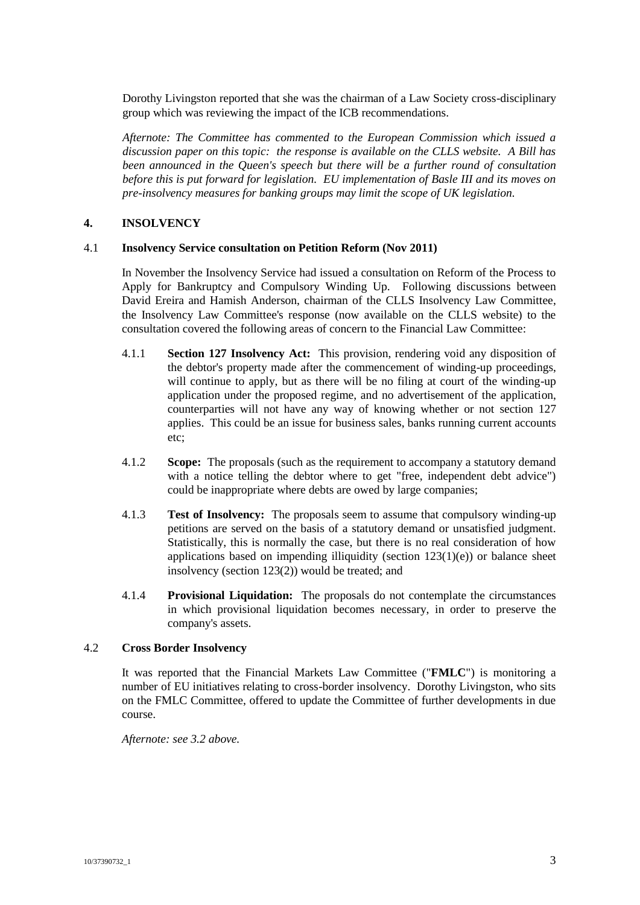Dorothy Livingston reported that she was the chairman of a Law Society cross-disciplinary group which was reviewing the impact of the ICB recommendations.

*Afternote: The Committee has commented to the European Commission which issued a discussion paper on this topic: the response is available on the CLLS website. A Bill has been announced in the Queen's speech but there will be a further round of consultation before this is put forward for legislation. EU implementation of Basle III and its moves on pre-insolvency measures for banking groups may limit the scope of UK legislation.*

## **4. INSOLVENCY**

#### 4.1 **Insolvency Service consultation on Petition Reform (Nov 2011)**

In November the Insolvency Service had issued a consultation on Reform of the Process to Apply for Bankruptcy and Compulsory Winding Up. Following discussions between David Ereira and Hamish Anderson, chairman of the CLLS Insolvency Law Committee, the Insolvency Law Committee's response (now available on the CLLS website) to the consultation covered the following areas of concern to the Financial Law Committee:

- 4.1.1 **Section 127 Insolvency Act:** This provision, rendering void any disposition of the debtor's property made after the commencement of winding-up proceedings, will continue to apply, but as there will be no filing at court of the winding-up application under the proposed regime, and no advertisement of the application, counterparties will not have any way of knowing whether or not section 127 applies. This could be an issue for business sales, banks running current accounts etc;
- 4.1.2 **Scope:** The proposals (such as the requirement to accompany a statutory demand with a notice telling the debtor where to get "free, independent debt advice") could be inappropriate where debts are owed by large companies;
- 4.1.3 **Test of Insolvency:** The proposals seem to assume that compulsory winding-up petitions are served on the basis of a statutory demand or unsatisfied judgment. Statistically, this is normally the case, but there is no real consideration of how applications based on impending illiquidity (section  $123(1)(e)$ ) or balance sheet insolvency (section 123(2)) would be treated; and
- 4.1.4 **Provisional Liquidation:** The proposals do not contemplate the circumstances in which provisional liquidation becomes necessary, in order to preserve the company's assets.

## 4.2 **Cross Border Insolvency**

It was reported that the Financial Markets Law Committee ("**FMLC**") is monitoring a number of EU initiatives relating to cross-border insolvency. Dorothy Livingston, who sits on the FMLC Committee, offered to update the Committee of further developments in due course.

*Afternote: see 3.2 above.*